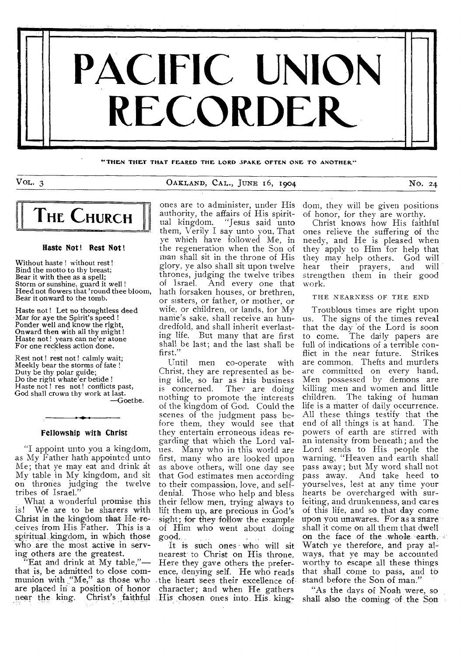

#### **"THEN THEY THAT FEARED THE LORD SPARE OFTEN ONE TO ANOTHER"**

VOL. 3 CAKLAND, CAL., JUNE 16, 1904 NO. 24



#### Haste Not! Rest Not!

Without haste ! without rest ! Bind the motto to thy breast; Bear it with thee as a spell; Storm or sunshine, guard it well ! Heed not flowers that 'round thee bloom, Bear it onward to the tomb.

Haste not ! Let no thoughtless deed Mar for aye the Spirit's speed ! Ponder well and know the right, Onward then with all thy might ! Haste not! years can ne'er atone For one reckless action done.

Rest not ! rest not ! calmly wait; Meekly bear the storms of fate ! Duty be thy polar guide; Do the right whate'er betide ! Haste not ! res not! conflicts past, God shall crown thy work at last. —Goethe.

#### Fellowship with Christ

"I appoint unto you a kingdom, as My Father bath appointed unto Me; that ye may eat and drink at My table in My kingdom, and sit on thrones judging the twelve tribes of Israel."

What a wonderful promise this<br>is! We are to be sharers with We are to be sharers with Christ in the kingdom that He receives from His. Father. This is a spiritual kingdom, in which those who are the most active in serving others are the greatest.

"Eat and drink at My table," that is, be admitted to close communion with "Me," as those who the heart sees their excellence of are placed in a position of honor

ones are to administer, under His authority, the affairs of His spiritual kingdom. "Jesus said unto them, Verily I say unto you, That ye which have followed Me, in the regeneration when the Son of man shall sit in the throne of His glory, ye also shall sit upon twelve thrones, judging the twelve tribes of Israel. And every one that bath forsaken houses, or brethren, or sisters, or father, or mother, or wife, or children, or lands, for My name's sake, shall receive an hundredfold, and shall inherit everlasting life. But many that are first shall be last; and the last shall be first."

Until men co-operate with Christ, they are represented as being idle, so far as his business is concerned. They are doing nothing to promote the interests of the kingdom of God. Could the scenes of the judgment pass before them, they would see that they entertain erroneous ideas regarding that which the Lord values. Many who in this world are first, many who are looked upon as above others, will one day see that God estimates men according to their compassion, love, and selfdenial. Those who help and bless their fellow men, trying always to lift them up, are precious in God's sight; for they follow the example of Him who went about doing good.

near the king. Christ's ,faithful His chosen ones into. His king-It is such ones who will sit nearest to Christ on His throne. Here they gave others the preference, denying self. He who reads character; and when He gathers

dom, they will be given positions of honor, for they are worthy.

Christ knows how His faithful ones relieve the suffering of the needy, and He is pleased when they apply to Him for help that they may help others. God will hear their prayers, and will strengthen them in their good work.

## THE NEARNESS OF THE END

Troublous times are right upon us. The signs of the times reveal that the day 'of the Lord is soon to come. The daily papers are full of indications of a terrible conflict in the near future. Strikes are common. Thefts and murders are committed on every hand. Men possessed by demons are killing men and women and little children. The taking of human life is a matter of daily occurrence. All these things testify that the end of all things is at hand. The powers of earth are stirred with an intensity from beneath; and the Lord sends to His people the warning, "Heaven and earth shall pass away; but My word shall not pass away. And take heed to yourselves, lest at any time your hearts be overcharged with surfeiting, and drunkenness, and cares of this life, and so that day come upon you unawares. For as a snare shall it come on all them that dwell on the face of the whole earth. Watch ye therefore, and pray always, that ye may be accounted worthy to escape all these things that shall come to pass, and to stand before the Son of man."

"As the days of Noah were, so shall also the coming of the Son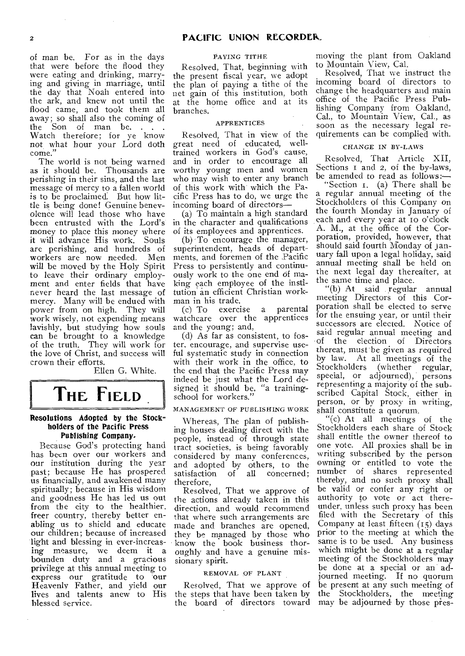of man be. For as in the days that were before the flood they were eating and drinking, marrying and giving in marriage, until the day that Noah entered into the ark, and knew not until the flood came, and took them all away; so shall also the coming of<br>the Son of man be.... Watch therefore; for ye know not what hour your Lord doth come."

The world is not being warned as it should be. Thousands are perishing in their sins, and the last message of mercy to a fallen world is to be proclaimed. But how little is being done! Genuine benevolence will lead those who have been entrusted with the Lord's money to place this money where it will advance His work. Souls are perishing, and hundreds of workers are now needed. Men will be moved by the Holy Spirit to leave their ordinary employment and enter fields that have never heard the last message of mercy. Many will be endued with power from on high. They will work wisely, not expending means lavishly, but studying how souls can be brought to a knowledge of the truth. They will work for the love of Christ, and success will crown their efforts.

Ellen G. White.

# **THE FIELD**

**11** 

## Resolutions Adopted by the Stockholders of the Pacific Press Publishing **Company.**

Because God's protecting hand has been over our workers and our institution during the year past; because He has prospered us financially, and awakened many spiritually; because in His wisdom and goodness He has led us out from the city to the healthier. freer country, thereby better enabling us to shield and educate our children; because of increased light and blessing in ever-increasing measure, we deem it a bounden duty and a gracious privilege at this annual meeting to express our gratitude to our Heavenly Father, and yield our lives and talents anew to His blessed service.

### PAYING TITHE

Resolved, That, beginning with the present fiscal year, we adopt the plan of paying a tithe of the net gain of this institution, both at the home office and at its branches.

## APPRENTICES

Resolved, That in view of the great need of educated, welltrained workers in God's cause, and in order to encourage all worthy young men and women who may wish to enter any branch of this work with which the Pacific Press has to do, we urge the incoming board of directors—

(a) To maintain a high standard in the character and qualifications of its employees and apprentices.

(b) To encourage the manager, superintendent, heads of departments, and foremen of the Pacific Press to persistently and continuously work to the one end of making each employee of the institution an efficient Christian workman in his trade.

(c) To exercise a parental watchcare over the apprentices and the young; and,

(d) As far as consistent, to foster, encourage, and supervise useful systematic study in connection with their work in the office, to the end that the Pacific Press may indeed be just what the Lord designed it should be, "a trainingschool for workers."

### MANAGEMENT OF PUBLISHING WORK

Whereas, The plan of publishing houses dealing direct with the people, instead of through state tract societies, is being favorably considered by many conferences, and adopted by others, to the satisfaction of all concerned; therefore,

Resolved, That we approve of the actions already taken in this direction, and would recommend that where such arrangements are made and branches are opened, they be managed by those who know the book business thoroughly and have a genuine missionary spirit.

#### REMOVAL OF PLANT

Resolved, That we approve of the steps that have been taken by the board of directors toward

moving the plant from Oakland to Mountain View, Cal.

Resolved, That we instruct the incoming board of directors to change the headquarters and main office of the Pacific Press Publishing Company from Oakland, Cal., to Mountain View, Cal., as soon as the necessary legal requirements can be complied with.

## CHANGE IN BY-LAWS

Resolved, That Article XII, Sections I and 2, of the by-laws, be amended to read as follows

`"Section I. (a) There shall be a regular annual meeting of the Stockholders of this Company on the fourth Monday in January of each and every year at to o'clock A. M., at the office of the Corporation, provided, however, that should said fourth Monday of January fall upon a legal holiday, said annual meeting shall be held on the next legal day thereafter, at the same time and place.

"(b) At said regular annual meeting Directors of this Corporation shall be elected to serve for the ensuing year, or until their successors are elected. Notice of said regular annual meeting and of the election of Directors thereat, must be given *as* required by law. At all meetings of the Stockholders (whether regular, special, or adjourned), persons representing a majority of the subscribed Capital Stock, either in person, or by proxy in writing, shall constitute a quorum.

"(c) At all meetings of the Stockholders each share of Stock shall entitle the owner thereof to one vote. All proxies shall be in writing subscribed by the person owning or entitled to vote the number of shares represented thereby, and no such proxy shall be valid or confer any right or authority to vote or act thereunder, unless such proxy has been filed with the Secretary of this Company at least fifteen (15) days prior to the meeting at which the same is to be used. Any business which might be done at a regular meeting of the Stockholders may be done at a special or an adjourned meeting. If no quorum be present at any such meeting of the Stockholders, the meeting may be adjourned by those pres-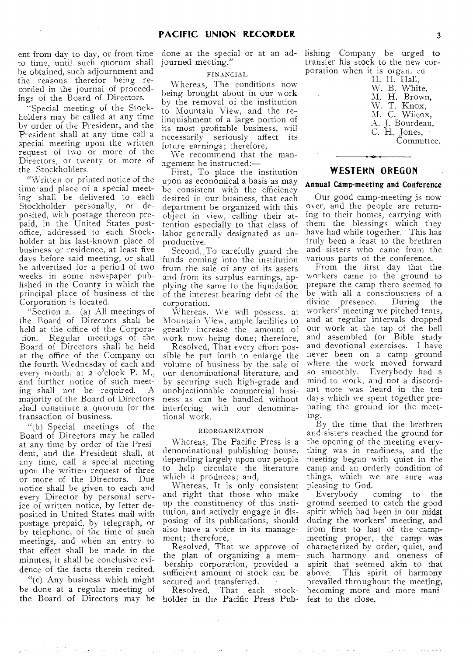ent from day to day, or from time done at the special or at an ad-lishing Company be urged to to time, until such quorum shall be obtained, such adjournment and the reasons therefor being recorded in the journal of proceedings of the Board of Directors.

"Special meeting of the Stockholders may be called at any time by order of the President, and the President shall at any time call a special meeting upon the written request of two or more of the Directors, or twenty or more of the Stockholders.

"Written or printed notice of the time and place of a special meeting shall be delivered to each Stockholder personally, or deposited, with postage thereon prepaid, in the United States postoffice, addressed to each Stockholder at his last-known place of business or residence, at least five days before said meeting, or shall be advertised for a period of two weeks in some newspaper published in the County in which the principal place of business of the Corporation is located.

"Section 2. (a) All meetings of the Board of Directors shall be held at the office of the Corporation. Regular meetings of the Board of Directors shall be held at the office of the Company on the fourth Wednesday of each and every month, at 2 o'clock P. M., and further notice of such meet-<br>ing shall not be required A ing shall not be required. majority of the Board of Directors shall constitute a quorum for the transaction of business.

"(b) Special meetings of the Board of Directors may be called at any time by order of the President, and the President shall, at any time, call a special meeting upon the written request of three<br>or more of the Directors Due or more of the Directors. notice shall be given to each and every Director by personal service of written notice, by letter deposited in United States mail with postage prepaid, by telegraph, or by telephone, of the time of such meetings, and when an' entry to that effect shall be made in the minutes, it shall be conclusive evidence of the facts therein recited.

"(c) Any business which might be done at a regular meeting of the Board of Directors may be

ياف المدين العي فالكانية وأوال المالية العلاقي

journed meeting."

FINANCIAL

Whereas, The conditions now being brought about in our work by the removal of the institution to Mountain View, and the relinquishment of a large portion of its most profitable business, will necessarily seriously affect its future earnings; therefore,

We recommend that the management be instructed:—

First, To place the institution upon as economical a basis as may be consistent with the efficiency desired in our business, that each department be organized with this object in view, calling their attention especially to that class of labor generally designated as unproductive.

Second,. To carefully guard the funds corning into the institution from the sale of any of its assets and from its surplus earnings, applying the same to the liquidation of the interest-bearing debt of the corporation.

Whereas, We will possess, at Mountain View, ample facilities to greatly increase the amount of work now being done; therefore,

Resolved, That every effort possible be put forth to enlarge the volume of business by the sale of our denominational literature, and by securing such high-grade and unobjectionable commercial business as can he handled without interfering with our denominational work.

#### REORGANIZATION

Whereas, The Pacific Press is a denominational publishing house, depending largely upon our people to help circulate the literature which it produces; and,

Whereas, Tt is only consistent and right that those who make up the constituency of this institution, and actively engage in disposing of its publications, should also have a voice in its management; therefore,

Resolved, That we approve of the plan of organizing a membership corporation, provided a sufficient amount of stock can be secured and transferred.

Resolved, That each stockholder -in the Pacific Press Pub-

 $\alpha_{\rm C}$  ,  $\alpha_{\rm C}$ 

transfer his stock to the new corporation when it is organ. eu

H. H. Hall, W. B. White, M. H. Brown, \V. T. Knox, M. C. Wilcox, A. J. Bourdeau, C. H. Jones, Committee.

# **WESTERN OREGON**

#### Annual Camp-meeting and Conference

Our good camp-meeting is now over, and the people are returning to their homes, carrying with them the blessings which they have had while together. This has truly been a feast to the brethren and sisters who came from the various parts of the conference.

From the first day that the workers came to the ground to prepare the camp there seemed to be with all a consciousness of a divine presence. During the workers' meeting we pitched tents, and at regular intervals dropped our work at the tap of the bell and assembled for Bible study and devotional exercises. I have never been on a camp ground where the work moved forward so smoothly. Everybody had a mind to work, and not a discordant note was heard in the ten days which we spent together preparing the ground for the meeting.

By the time that the brethren and sisters reached the ground for the opening of the meeting everything was in readiness, and the meeting began with quiet in the camp and an orderly condition of things, which we are sure was

pleasing to God.<br>Everybody coming to the ground seemed to catch the good spirit which had been in our midst during the workers' meeting, and from first to last of the •campmeeting proper, the camp was characterized by order, quiet, and such harmony and oneness of spirit that seemed akin to that above. This spirit of harmony prevailed throughout the meeting, becoming more and more manifest to the close.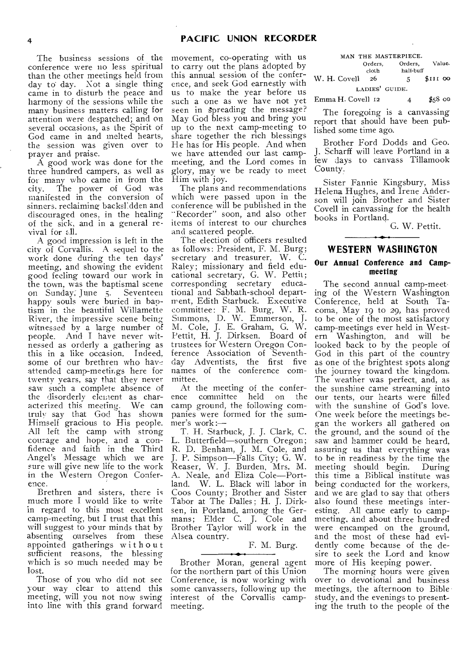The business sessions of the conference were no less spiritual than the other meetings held from day to day. Not a single thing came in to disturb the peace and harmony of the sessions while the many business matters calling for attention were despatched; and on several occasions, as the Spirit of God came in and melted hearts, the session was given over to prayer and praise.

A good work was done for the three hundred campers, as well as for many who came in from the city. The power of God was manifested in the conversion of sinners. reclaiming backsl:dden and discouraged ones, in the healing of the sick, and in a general revival for all.

A good impression is left in the city of Corvallis. A sequel to the work done during the ten days' meeting, and showing the evident good feeling toward our work in the town, was the baptismal scene on Sunday; June 5. Seventeen happy souls were buried in baptism in the beautiful Willamette River, the impressive scene being witnessed by a large number of people. And I have never witnessed as orderly a gathering as this in a like occasion. Indeed, some of our brethren who have attended camp-meetir.gs here for twenty years, say that they never saw such a complete absence of the disorderly element as characterized this meeting. We can truly say that God has shown Himself gracious to His people. All left the camp with strong courage and hope, and a confidence and faith in the Third Angel's Message which we are sure will give new life to the work in the Western Oregon Conference.

Brethren and sisters, there is much more I would like to write in regard to this most excellent camp-meeting, but I trust that this will suggest to your minds that by absenting ourselves from these appointed gatherings without sufficient reasons, the blessing which is so much needed may be lost.

Those of you who did not see your way clear to attend this meeting, will you not now swing into line with this grand forward

movement, co-operating with us to carry out the plans adopted by this annual session of the conference, and seek God earnestly with us to make the year before us such a one as we have not yet seen in spreading the message? May God bless you and bring you up to the next camp-meeting to share together the rich blessings He has for His people. And when we have attended our last campmeeting, and the Lord comes in glory, may we be ready to meet Him with joy.

The plans and recommendations which were passed upon in the conference will be published in the "Recorder" soon, and also other items of interest to our churches and scattered people.

The election of officers resulted as follows: President, F. M. Burg; secretary and treasurer, W. C. Raley; missionary and field educational secretary, G. W. Pettit; corresponding secretary educational and Sabbath-school department, Edith Starbuck. Executive committee: F. M. Burg, W. R. Simmons, D. W. Emmerson, J. M. Cole, J. E. Graham, G. W. Pettit, H. J. Dirksen. Board of trustees for Western Oregon Conference Association of Seventhday Adventists, the first five names of the conference committee.

At the meeting of the confer-<br>ence committee held on the committee held on the camp ground, the following companies were formed for the summer's work :—

T. H. Starbuck, J. J. Clark, C. L. Butterfield—southern Oregon; R. D. Benham, J. M. Cole, and J. P. Simpson—Falls City; G. W. Reaser, W. J. Burden, Mrs. M. A. Neale, and Eliza Cole—Portland. W. L. Black will labor in Coos County; Brother and Sister Tabor at The Dalles ; H. J. Dirksen, in Portland, among the Germans; Elder C. J. Cole and Brother Taylor will work in the Alsea country.

## F. M. Burg.

Brother Moran, general agent for the northern part of this Union Conference, is now working with some canvassers, following up the interest of the Corvallis campmeeting.

MAN THE MASTERPIECE. Orders, Orders, Value.<br>
cloth half-buff  $half$ -buff W. H. Covell 26 5 \$111 00 LADIES' GUIDE.

Emma H. Covell  $12 \t 4 \t $58$  00

The foregoing is a canvassing report that should have been published some time ago.

Brother Ford Dodds and Geo. J. Scharff will leave Portland in a few days to canvass Tillamook County.

Sister Fannie Kingsbury, Miss Helena Hughes, and Irene Anderson will join Brother and Sister Covell in canvassing for the health books in Portland.

G. W. Pettit.

# **WESTERN WASHINGTON**

# **Our Annual Conference and Campmeeting**

The second annual camp-meeting of the Western Washington Conference, held at South Tacoma, May 19 to 29, has proved to he one of the most satisfactory camp-meetings ever held in Western Washington, and will be looked back to by the people of God in this part of the country as one of the brightest spots along the journey toward the kingdom. The weather was perfect, and, as the sunshine came streaming into our tents, our hearts were filled with the sunshine of God's love. One week before the meetings began the workers all gathered on the ground, and the sound of the saw and hammer could be heard, assuring us that everything was to be in readiness by the time the<br>meeting should begin. During meeting should begin. this time a Biblical institute was being conducted for the workers, and we are glad to say that others also found these meetings interesting. All came early to campmeeting, and about three hundred were encamped on the ground, and the most of these had evidently come because of the desire to seek the Lord and know more of His keeping power.

The morning hours were given over to devotional and business meetings, the afternoon to Bible study, and the evenings to presenting the truth to the people of the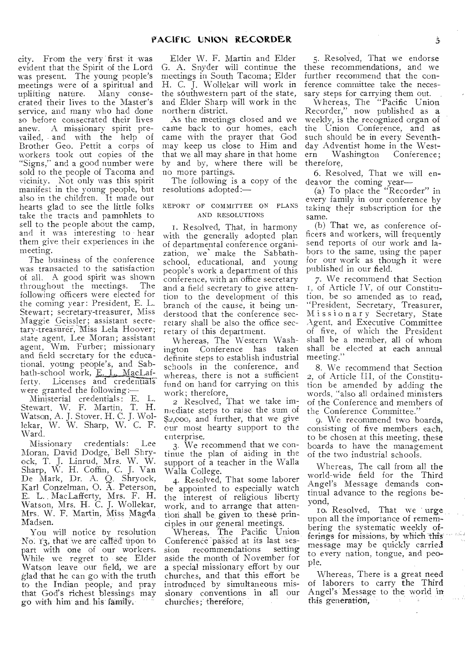city. From the very first it was evident that the Spirit of the Lord was present. The young people's meetings were of a spiritual and uplifting nature. Many consecrated their lives to the Master's service, and many who had done so before consecrated their lives anew, A missionary spirit prevailed, and with the help of Brother Geo. Pettit a corps of workers took out copies of the "Signs," and a good number were sold to the people of Tacoma and vicinity. Not only was this spirit manifest in the young people, but also in the children. It made our hearts glad to see the little folks take the tracts and pamphlets to sell to the people about the camp, and it was interesting to hear them give their experiences in the meeting.

The business of the conference was transacted to the satisfaction of all. A good spirit was shown throughout the meetings. following officers were elected for the coming year: President, E. L. Stewart; secretary-treasurer, Miss Maggie Geissler; assistant secretary-treastirer, Miss Lela Hoover; state agent, Lee Moran; assistant agent, Wm. Furber; missionary and field secretary for the educational. young people's, and Sabbath-school work, E. L. MacLafferty. Licenses and credentials were granted the following:—

Ministerial credentials: E. L. Stewart, W. F. Martin, T. H. Watson, A. J. Stover, H. C. J. Wollekar, W. W. Sharp, W. C. F. Ward.

Missionary credentials: Lee Moran, David Dodge,' Bell Shryock, T. J. Linrud, Mrs. W. W. Sharp, W. H. Coffin, C. J. Van De Mark, Dr. A. Q. Shryock, Karl Conzelman, 0. A. Peterson, E. L. , MacLafferty, Mrs. F. H. Watson, Mrs. H. C. J. Wollekar, Mrs. W. F. Martin, Miss Magda Madsen.

You will notice by resolution No. 13, that we are called upon to part with one of our workers. While we regret to see Elder Watson leave our field,. we are glad that he can go with the truth to the Indian people, and pray that God's richest blessings may go with: 'him-and. his-family:,

Elder W. F. Martin and Elder G. A. Snyder will continue the meetings in South Tacoma; Elder H. C. J. Wollekar will work in the southwestern part of the state, and Elder Sharp will work in the northern district.

As the meetings closed and we came back to our homes, each came with the prayer that God may keep us close to Him and that we all may share in that home by and by, where there will be no more partings.

The following is a copy of the resolutions adopted:—

## REPORT OF COMMITTEE ON PLANS AND RESOLUTIONS

I. Resolved, That, in harmony with the generally adopted plan of departmental conference organization, we make the Sabbathschool, educational, and young people's work a department of this conference, with an office secretary and a field secretary to give attention to the development of this branch of the cause, it being understood that the conference secretary shall be also the office secretary of this department.

Whereas, The Western Washington Conference has definite steps to establish industrial schools in the conference, and whereas, there is not a sufficient fund on hand for carrying on this work; therefore,

2 Resolved, That we take immediate steps to raise the sum of \$2,000, and further, that we give our most hearty support to the enterprise.

3. We recommend that we continue the plan of aiding in the support of a teacher in the Walla Walla College.

4. Resolved, That some laborer be appointed to especially watch the interest of religious liberty work, and to arrange that attention shall be, given to these principles in our general meetings.

Whereas, The Pacific Union Conference passed at its last session recommendations setting aside the month of November for a special missionary effort by our churches, and that this effort be introduced by simultaneous missionary conventions in all our churches; therefore,

5. Resolved, That we endorse these recommendations, and we further recommend that the conference committee take the necessary steps for carrying them out.

Whereas, The "Pacific Union Recorder," now published as a weekly, is the recognized organ of the Union Conference, and as such should be in every Seventhday Adventist home in the Western Washington Conference; therefore,

6. Resolved, That we will endeavor the coming year—

(a) To place the "Recorder" in every family in our conference by taking their subscription for the same.

(b) That we, as conference officers and workers, will frequently send reports of our work and labors to the same, using the paper for our work as though it were published in our field.

7. We recommend that Section t, of Article IV, of our Constitution, be so amended as to read, "President, Secretary, Treasurer, Missionary Secretary, State Agent, and Executive Committee of five, of which the President shall be a member, all of whom shall be elected at each annual meeting."

8. We recommend that Section *2,* of Article III, of the Constitution he amended by adding the words, "also all ordained ministers of the Conference and members of the Conference Committee."

9. We recommend two boards, consisting of five members each, to be chosen at this meeting, these boards to have the management of the two industrial schools.

Whereas, The call from all the world-wide field for the Third Angel's Message demands continual advance to the regions beyond,

To. Resolved, That we urge upon all the importance of remembering the systematic weekly offerings for missions, by which this message may be quickly carried to every nation, tongue, and people.

Whereas, There is a great need of laborers to carry the Third Angel's Message to the world in this generation,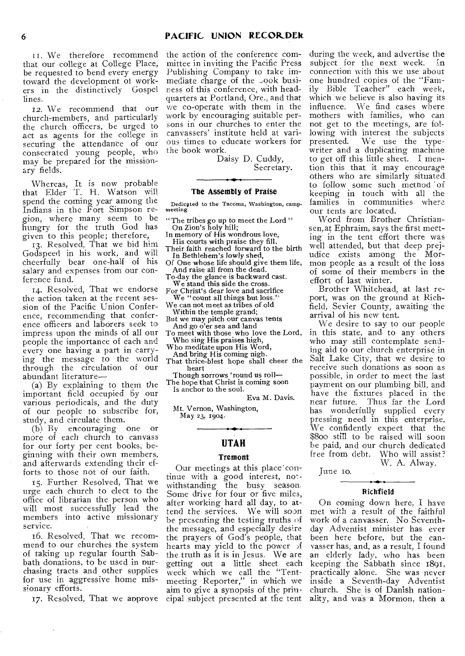it. We therefore recommend that our college at College Place, be requested to bend every energy toward the development of workers in the distinctively Gospel lines.

12. We recommend that our church-members, and particularly the church officers, be urged to act as agents for the college in securing the attendance of our consecrated young people, who may be prepared for the missionary fields.

Whereas, It is now probable that Elder T. H. Watson will spend the corning year among the Indians in the Fort Simpson region, where many seem to be hungry for the truth God has given to this people; therefore,

13. Resolved, That we bid him Godspeed in his work, and will cheerfully bear one-half of his salary and expenses from our conference fund.

14. Resolved, That we endorse the action taken at the recent session of the Pacific Union Conference, recommending that conference officers and laborers seek to impress upon the minds of all our people the importance of each and every one having a part in carrying the message to the world through the circulation of our abundant literature—

(a) By explaining to them the important field occupied by our various periodicals, and the duty of our people to subscribe for,

study, and circulate them. (b) By encouraging one or more of each church to canvass for our forty per cent books, beginning with their own members, and afterwards extending their efforts to those not of our faith.

15. Further Resolved, That we urge each church to elect to the office of librarian the person who will most successfully lead the members into active missionary service.

16. Resolved, That we recommend to our churches the system of taking up regular fourth Sabbath donations, to be used in purchasing tracts and other supplies for use in aggressive home missionary efforts.

17. Resolved, That we approve

the action of the conference committee in inviting the Pacific Press Publishing Company to take immediate charge of the  $\sim$  ook business of this conference, with headquarters at Portland, Ore., and that we co-operate with them in the work by encouraging suitable persons in our churches to enter the canvassers' institute held at various times to educate workers for the book work.

> Daisy D. Cuddy, Secretary.

### **The Assembly of Praise**

Dedicated to the Tacoma, Washington, campmeeting

- "The tribes go up to meet the Lord" On Zion's holy hill;
- In memory of His wondrous love,
- His courts with praise they fill. Their faith reached forward to the birth
- In Bethlehem's lowly shed,
- Of One whose life should give them life, And raise all from the dead.

To-day the glance is backward cast. We stand this side the cross.

For Christ's dear love and sacrifice We "count all things but loss."

We can not meet as tribes of old Within the temple.grand;

- But we may pitch our canvas tents And go o'er sea and land
- To meet with those who love the Lord, Who sing His praises high,

Who meditate upon His Word,

And bring His coming nigh. That thrice-blest hope shall cheer the heart

Though sorrows 'round us roll— The hope that Christ is coming soon

Is anchor to the soul.

Eva M. Davis.

Mt. Vernon, Washington, May 23, 1904.

# **UTAH**

#### **Tremont**

Our meetings at this place 'continue with a good interest, norwithstanding the busy season. Some drive for four or five miles, after working hard all day, to attend the *services. We* will soon be presenting the testing truths of the message, and especially desire the prayers of God's people, that hearts may yield to the power the truth as it is in Jesus. We are getting out a little sheet each week which we call the "Tentmeeting Reporter," in which we aim to give a synopsis of the principal subject presented at the tent

during the week, and advertise the subject for the next week. In connection with this we use about one hundred copies of the "Family Bible Teacher" each week, which we believe is also having its influence. We find cases where mothers with families, who can not get to the meetings, are following with interest the subjects<br>presented. We use the type-We use the typewriter and a duplicating machine to get off this little sheet. I mention this that it may encourage others who are similarly situated to follow some such method of keeping in touch with all the families in communities where our tents are located.

Word from Brother Christiansen, at Ephraim, says the first meeting in the tent effort there was well attended, but that deep prejudice exists among the Mormon people as a result of the loss of some of their members in the effort of last winter.

Brother Whitehead, at last report, was on the ground at Richfield, Sevier County, awaiting 'the arrival of his new tent.

We desire to say to our people in this state, and to any others who may still contemplate sending aid to our church enterprise in Salt Lake City, that we desire to receive such donations as soon as possible, in order to meet the last payment on our plumbing bill, and have the fixtures placed in the near future. Thus far the Lord has wonderfully supplied every pressing need in this enterprise. We confidently expect that the \$800 still to be raised will soon be paid, and our church dedicated free from debt. Who will assist?

W. A. Alway.

June 10.

#### **Richfield**

On coming down here, I have met with a result of the faithful work of a canvasser. No Seventhday Adventist minister has ever been here before, but the canvasser has, and, as a result, I found an elderly lady, who has been keeping the Sabbath since 1891, practically alone. She was never inside a Seventh-day Adventist church. She is of Danish nationality, and was a Mormon, then a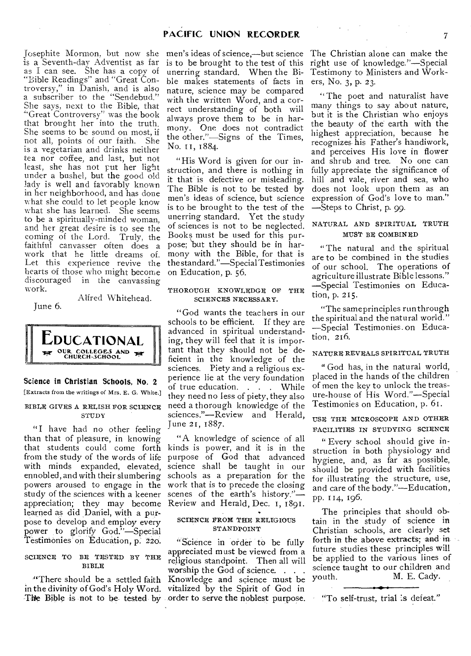is a Seventh-day Adventist as far as I can see. She has a copy of "Bible Readings" and "Great Controversy," in Danish, and is also a subscriber to the "Sendebud." She says, next to the Bible, that "Great Controversy" was the book that brought her into the truth. She seems to be sound on most, if not all, points of our faith. She is a vegetarian and drinks neither tea nor coffee, and last, but not least, she has not put her light under a bushel, but the good old lady is well and favorably known in her neighborhood, and has done what she could to let people know what she has learned. She seems to be a spiritually-minded woman, and her great desire is to see the coming of the Lord. Truly, the faithful canvasser often does a work that he little dreams of. Let this experience revive the hearts of those who might become discouraged in the canvassing work.

Alfred Whitehead. June 6.



Science in Christian Schools, No. 2 [Extracts from the writings of Mrs. E. G. White.]

# BIBLE GIVES A RELISH FOR SCIENCE **STUDY**

"I have had no other feeling than that of pleasure, in knowing that students could come forth from the study of the words of life with minds expanded, elevated, ennobled, and with their slumbering powers aroused to engage in the study of the sciences with a keener appreciation; they may become Review and Herald, Dec. 1, 1891. learned as did Daniel, with a purpose to develop and employ every power to glorify God."—Special Testimonies on Education, p. 220.

## SCIENCE TO BE TESTED BY THE BIBLE

"There should be a settled faith in the divinity of God's Holy Word.

is to be brought to the test of this unerring standard. When the Bible makes statements of facts in nature, science may be compared with the written Word, and a correct understanding of both will always prove them to be in harmony. One does not contradict the other."—Signs of the Times, No. 11, 1884.

"His Word is given for our instruction, and there is nothing in it that is defective or misleading. The Bible is not to be tested by men's ideas of science, but science is to be brought to the test of the unerring standard. Yet the study of sciences is not to be neglected. Books must be used for this purpose; but they should be in harmony with the Bible, for that is the standard."—Special Testimonies on Education, p. 56.

## THOROUGH KNOWLEDGE OF THE SCIENCES NECESSARY.

"God wants the teachers in our schools to be efficient. If they are advanced in spiritual understanding, they will feel that it is important that they should not be deficient in the knowledge of the sciences. Piety and a religious experience lie at the very foundation of true education. . . . While they need no less of piety, they also need a thorough knowledge of the sciences."—Review and Herald, June 21, 1887.

"A knowledge of science of all kinds is power, and it is in the purpose of God that advanced science shall be taught in our schools as a preparation for the work that is to precede the closing scenes of the earth's history."—

# SCIENCE FROM THE RELIGIOUS **STANDPOINT**

The Bible is not to be tested by order to serve the noblest purpose. "Science in order to be fully appreciated must be viewed from a religious standpoint. Then all will worship the God of science. . . Knowledge and science must be vitalized by the Spirit of God in

Josephite Mormon, but now she men's ideas of science,—but science The Christian alone can make the right use of knowledge."—Special Testimony to Ministers and Workers, No. 3, p. 23.

> "The poet and naturalist have many things to say about nature, but it is the Christian who enjoys the beauty of the earth with the highest appreciation, because he recognizes his Father's handiwork, and perceives His love in flower and shrub and tree. No one can fully appreciate the significance of hill and vale, river and sea, who does not look upon them as an expression of God's love to man." —Steps to Christ, p. 99.

# NATURAL AND SPIRITUAL TRUTH MUST BE COMBINED

"The natural and the spiritual are to be combined in the studies of our school. The operations of agriculture illustrate Bible lessons." —Special Testimonies on Education, p. 215.

"The sameprinciples run through the spiritual and the natural world." —Special Testimonies. on Education, 216.

# NATURE REVEALS SPIRITUAL TRUTH

" God has, in the natural world, placed in the hands of the children of men the key to unlock the treasure-house of His Word."—Special Testimonies on Education, p. 6i.

USE THE MICROSCOPE AND OTHER FACILITIES IN STUDYING SCIENCE

" Every school should give instruction in both physiology and hygiene, and, as far as possible, should be provided with facilities for illustrating the structure, use, and care of the body."—Education, pp. 114, 196.

The principles that should obtain in the study of science in Christian schools, are clearly set forth in the above extracts; and in future studies these principles will be applied to the various lines of science taught to our children and youth. M. E. Cady.

"To self-trust, trial :s defeat."